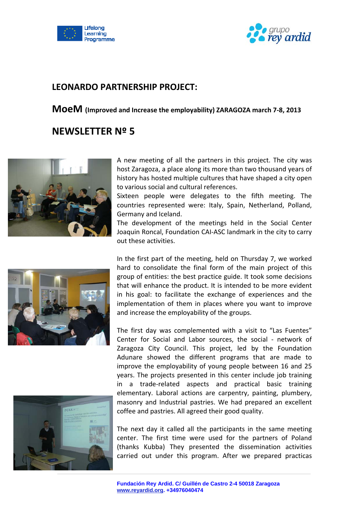



## **LEONARDO PARTNERSHIP PROJECT:**

**MoeM (Improved and Increase the employability) ZARAGOZA march <sup>7</sup>‐8, <sup>2013</sup>**

## **NEWSLETTER Nº 5**



A new meeting of all the partners in this project. The city was host Zaragoza, a place along its more than two thousand years of history has hosted multiple cultures that have shaped a city open to various social and cultural references.

Sixteen people were delegates to the fifth meeting. The countries represented were: Italy, Spain, Netherland, Polland, Germany and Iceland.

The development of the meetings held in the Social Center Joaquin Roncal, Foundation CAI‐ASC landmark in the city to carry out these activities.



In the first part of the meeting, held on Thursday 7, we worked hard to consolidate the final form of the main project of this group of entities: the best practice guide. It took some decisions that will enhance the product. It is intended to be more evident in his goal: to facilitate the exchange of experiences and the implementation of them in places where you want to improve and increase the employability of the groups.

The first day was complemented with a visit to "Las Fuentes" Center for Social and Labor sources, the social - network of Zaragoza City Council. This project, led by the Foundation Adunare showed the different programs that are made to improve the employability of young people between 16 and 25 years. The projects presented in this center include job training in a trade‐related aspects and practical basic training elementary. Laboral actions are carpentry, painting, plumbery, masonry and Industrial pastries. We had prepared an excellent coffee and pastries. All agreed their good quality.



The next day it called all the participants in the same meeting center. The first time were used for the partners of Poland (thanks Kubba) They presented the dissemination activities carried out under this program. After we prepared practicas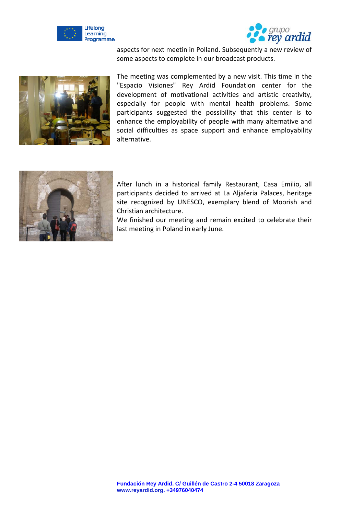



aspects for next meetin in Polland. Subsequently a new review of some aspects to complete in our broadcast products.



The meeting was complemented by a new visit. This time in the "Espacio Visiones" Rey Ardid Foundation center for the development of motivational activities and artistic creativity, especially for people with mental health problems. Some participants suggested the possibility that this center is to enhance the employability of people with many alternative and social difficulties as space support and enhance employability alternative.



After lunch in a historical family Restaurant, Casa Emilio, all participants decided to arrived at La Aljaferia Palaces, heritage site recognized by UNESCO, exemplary blend of Moorish and Christian architecture.

We finished our meeting and remain excited to celebrate their last meeting in Poland in early June.